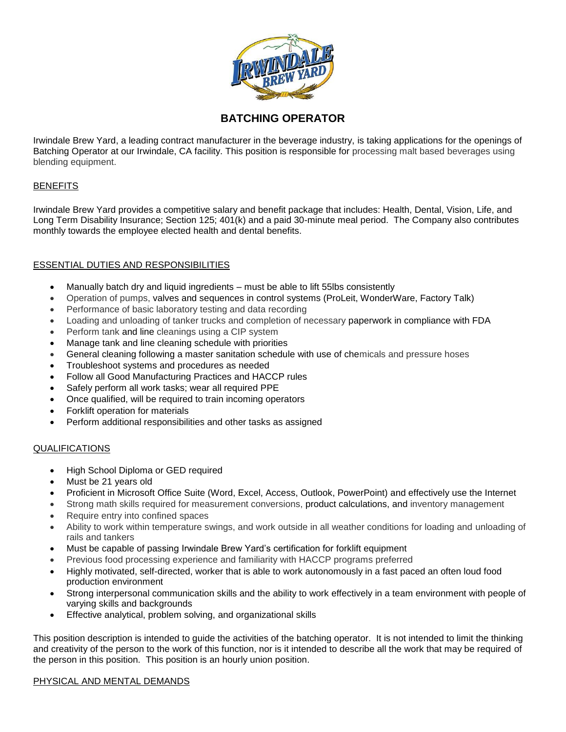

# **BATCHING OPERATOR**

Irwindale Brew Yard, a leading contract manufacturer in the beverage industry, is taking applications for the openings of Batching Operator at our Irwindale, CA facility. This position is responsible for processing malt based beverages using blending equipment.

## **BENEFITS**

Irwindale Brew Yard provides a competitive salary and benefit package that includes: Health, Dental, Vision, Life, and Long Term Disability Insurance; Section 125; 401(k) and a paid 30-minute meal period. The Company also contributes monthly towards the employee elected health and dental benefits.

## ESSENTIAL DUTIES AND RESPONSIBILITIES

- Manually batch dry and liquid ingredients must be able to lift 55lbs consistently
- Operation of pumps, valves and sequences in control systems (ProLeit, WonderWare, Factory Talk)
- Performance of basic laboratory testing and data recording
- Loading and unloading of tanker trucks and completion of necessary paperwork in compliance with FDA
- Perform tank and line cleanings using a CIP system
- Manage tank and line cleaning schedule with priorities
- General cleaning following a master sanitation schedule with use of chemicals and pressure hoses
- Troubleshoot systems and procedures as needed
- Follow all Good Manufacturing Practices and HACCP rules
- Safely perform all work tasks; wear all required PPE
- Once qualified, will be required to train incoming operators
- Forklift operation for materials
- Perform additional responsibilities and other tasks as assigned

## QUALIFICATIONS

- High School Diploma or GED required
- Must be 21 years old
- Proficient in Microsoft Office Suite (Word, Excel, Access, Outlook, PowerPoint) and effectively use the Internet
- Strong math skills required for measurement conversions, product calculations, and inventory management
- Require entry into confined spaces
- Ability to work within temperature swings, and work outside in all weather conditions for loading and unloading of rails and tankers
- Must be capable of passing Irwindale Brew Yard's certification for forklift equipment
- Previous food processing experience and familiarity with HACCP programs preferred
- Highly motivated, self-directed, worker that is able to work autonomously in a fast paced an often loud food production environment
- Strong interpersonal communication skills and the ability to work effectively in a team environment with people of varying skills and backgrounds
- Effective analytical, problem solving, and organizational skills

This position description is intended to guide the activities of the batching operator. It is not intended to limit the thinking and creativity of the person to the work of this function, nor is it intended to describe all the work that may be required of the person in this position. This position is an hourly union position.

#### PHYSICAL AND MENTAL DEMANDS